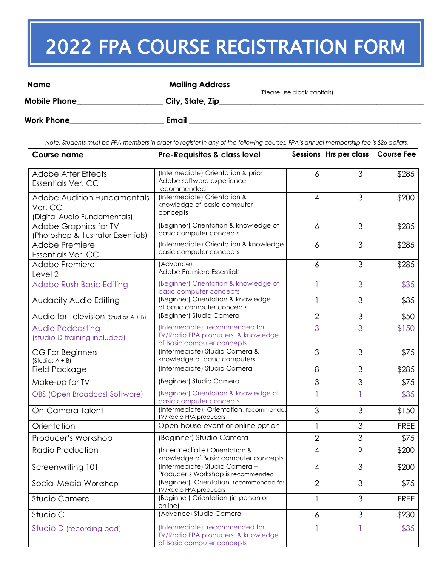## 2022 FPA COURSE REGISTRATION FORM

| <b>Name</b>         | <b>Mailing Address</b>      |  |
|---------------------|-----------------------------|--|
|                     | (Please use block capitals) |  |
| <b>Mobile Phone</b> | City, State, Zip            |  |
|                     |                             |  |
| <b>Work Phone</b>   | <b>Email</b>                |  |

*Note: Students must be FPA members in order to register in any of the following courses. FPA's annual membership fee is \$26 dollars.*

| <b>Course name</b>                                                            | Pre-Requisites & class level                                                                       |                | Sessions Hrs per class Course Fee |             |
|-------------------------------------------------------------------------------|----------------------------------------------------------------------------------------------------|----------------|-----------------------------------|-------------|
| <b>Adobe After Effects</b><br><b>Essentials Ver. CC</b>                       | (Intermediate) Orientation & prior<br>Adobe software experience<br>recommended                     | 6              | 3                                 | \$285       |
| <b>Adobe Audition Fundamentals</b><br>Ver. CC<br>(Digital Audio Fundamentals) | (Intermediate) Orientation &<br>knowledge of basic computer<br>concepts                            | 4              | 3                                 | \$200       |
| <b>Adobe Graphics for TV</b><br>(Photoshop & Illustrator Essentials)          | (Beginner) Orientation & knowledge of<br>basic computer concepts                                   | 6              | 3                                 | \$285       |
| Adobe Premiere<br><b>Essentials Ver. CC</b>                                   | (Intermediate) Orientation & knowledge<br>basic computer concepts                                  | 6              | 3                                 | \$285       |
| Adobe Premiere<br>Level 2                                                     | (Advance)<br>Adobe Premiere Essentials                                                             | 6              | 3                                 | \$285       |
| <b>Adobe Rush Basic Editing</b>                                               | (Beginner) Orientation & knowledge of<br>basic computer concepts                                   |                | 3                                 | \$35        |
| <b>Audacity Audio Editing</b>                                                 | (Beginner) Orientation & knowledge<br>of basic computer concepts                                   | 1              | 3                                 | \$35        |
| Audio for Television (Studios $A + B$ )                                       | (Beginner) Studio Camera                                                                           | $\overline{2}$ | 3                                 | \$50        |
| <b>Audio Podcasting</b><br>(studio D training included)                       | (Intermediate) recommended for<br>TV/Radio FPA producers & knowledge<br>of Basic computer concepts | 3              | 3                                 | \$150       |
| <b>CG For Beginners</b><br>$(Studios A + B)$                                  | (Intermediate) Studio Camera &<br>knowledge of basic computers                                     | 3              | 3                                 | \$75        |
| Field Package                                                                 | (Intermediate) Studio Camera                                                                       | 8              | 3                                 | \$285       |
| Make-up for TV                                                                | (Beginner) Studio Camera                                                                           | 3              | 3                                 | \$75        |
| OBS (Open Broadcast Software)                                                 | (Beginner) Orientation & knowledge of<br>basic computer concepts                                   |                | 1                                 | \$35        |
| On-Camera Talent                                                              | (Intermediate) Orientation, recommended<br><b>TV/Radio FPA producers</b>                           | 3              | 3                                 | \$150       |
| Orientation                                                                   | Open-house event or online option                                                                  |                | 3                                 | <b>FREE</b> |
| Producer's Workshop                                                           | (Beginner) Studio Camera                                                                           | $\overline{2}$ | 3                                 | \$75        |
| Radio Production                                                              | (Intermediate) Orientation &<br>knowledge of Basic computer concepts                               | $\overline{4}$ | 3                                 | \$200       |
| Screenwriting 101                                                             | (Intermediate) Studio Camera +<br>Producer's Workshop is recommended                               | $\overline{4}$ | 3                                 | \$200       |
| Social Media Workshop                                                         | (Beginner) Orientation, recommended for<br><b>TV/Radio FPA producers</b>                           | 2              | 3                                 | \$75        |
| Studio Camera                                                                 | (Beginner) Orientation (in-person or<br>online)                                                    |                | 3                                 | <b>FREE</b> |
| Studio C                                                                      | (Advance) Studio Camera                                                                            | 6              | 3                                 | \$230       |
| Studio D (recording pod)                                                      | (Intermediate) recommended for<br>TV/Radio FPA producers & knowledge<br>of Basic computer concepts |                |                                   | \$35        |